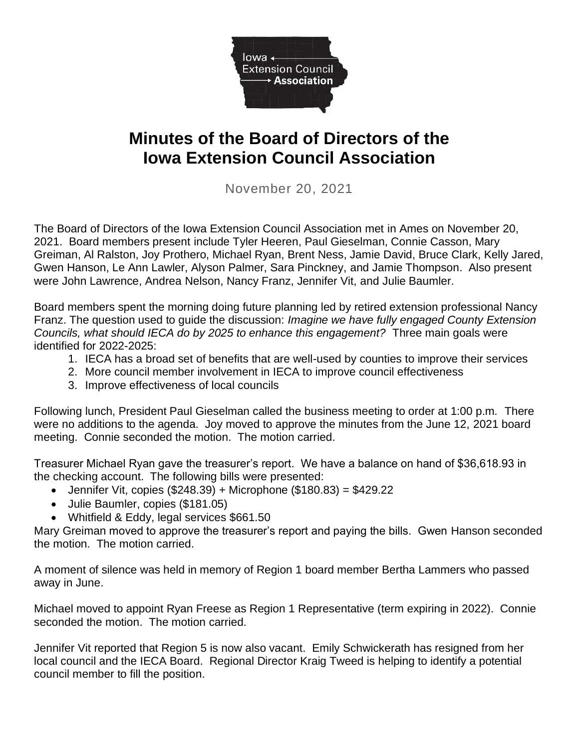

## **Minutes of the Board of Directors of the Iowa Extension Council Association**

November 20, 2021

The Board of Directors of the Iowa Extension Council Association met in Ames on November 20, 2021. Board members present include Tyler Heeren, Paul Gieselman, Connie Casson, Mary Greiman, Al Ralston, Joy Prothero, Michael Ryan, Brent Ness, Jamie David, Bruce Clark, Kelly Jared, Gwen Hanson, Le Ann Lawler, Alyson Palmer, Sara Pinckney, and Jamie Thompson. Also present were John Lawrence, Andrea Nelson, Nancy Franz, Jennifer Vit, and Julie Baumler.

Board members spent the morning doing future planning led by retired extension professional Nancy Franz. The question used to guide the discussion: *Imagine we have fully engaged County Extension Councils, what should IECA do by 2025 to enhance this engagement?* Three main goals were identified for 2022-2025:

- 1. IECA has a broad set of benefits that are well-used by counties to improve their services
- 2. More council member involvement in IECA to improve council effectiveness
- 3. Improve effectiveness of local councils

Following lunch, President Paul Gieselman called the business meeting to order at 1:00 p.m. There were no additions to the agenda. Joy moved to approve the minutes from the June 12, 2021 board meeting. Connie seconded the motion. The motion carried.

Treasurer Michael Ryan gave the treasurer's report. We have a balance on hand of \$36,618.93 in the checking account. The following bills were presented:

- Jennifer Vit, copies  $(\$248.39) +$  Microphone  $(\$180.83) = \$429.22$
- Julie Baumler, copies (\$181.05)
- Whitfield & Eddy, legal services \$661.50

Mary Greiman moved to approve the treasurer's report and paying the bills. Gwen Hanson seconded the motion. The motion carried.

A moment of silence was held in memory of Region 1 board member Bertha Lammers who passed away in June.

Michael moved to appoint Ryan Freese as Region 1 Representative (term expiring in 2022). Connie seconded the motion. The motion carried.

Jennifer Vit reported that Region 5 is now also vacant. Emily Schwickerath has resigned from her local council and the IECA Board. Regional Director Kraig Tweed is helping to identify a potential council member to fill the position.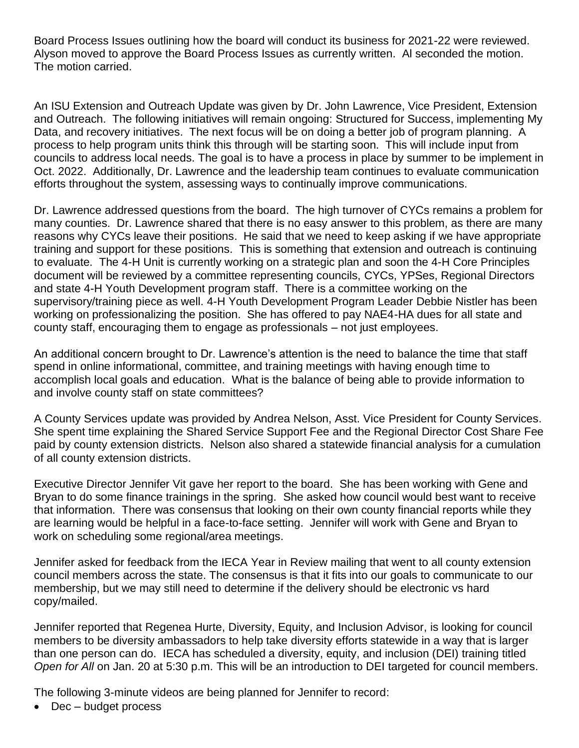Board Process Issues outlining how the board will conduct its business for 2021-22 were reviewed. Alyson moved to approve the Board Process Issues as currently written. Al seconded the motion. The motion carried.

An ISU Extension and Outreach Update was given by Dr. John Lawrence, Vice President, Extension and Outreach. The following initiatives will remain ongoing: Structured for Success, implementing My Data, and recovery initiatives. The next focus will be on doing a better job of program planning. A process to help program units think this through will be starting soon. This will include input from councils to address local needs. The goal is to have a process in place by summer to be implement in Oct. 2022. Additionally, Dr. Lawrence and the leadership team continues to evaluate communication efforts throughout the system, assessing ways to continually improve communications.

Dr. Lawrence addressed questions from the board. The high turnover of CYCs remains a problem for many counties. Dr. Lawrence shared that there is no easy answer to this problem, as there are many reasons why CYCs leave their positions. He said that we need to keep asking if we have appropriate training and support for these positions. This is something that extension and outreach is continuing to evaluate. The 4-H Unit is currently working on a strategic plan and soon the 4-H Core Principles document will be reviewed by a committee representing councils, CYCs, YPSes, Regional Directors and state 4-H Youth Development program staff. There is a committee working on the supervisory/training piece as well. 4-H Youth Development Program Leader Debbie Nistler has been working on professionalizing the position. She has offered to pay NAE4-HA dues for all state and county staff, encouraging them to engage as professionals – not just employees.

An additional concern brought to Dr. Lawrence's attention is the need to balance the time that staff spend in online informational, committee, and training meetings with having enough time to accomplish local goals and education. What is the balance of being able to provide information to and involve county staff on state committees?

A County Services update was provided by Andrea Nelson, Asst. Vice President for County Services. She spent time explaining the Shared Service Support Fee and the Regional Director Cost Share Fee paid by county extension districts. Nelson also shared a statewide financial analysis for a cumulation of all county extension districts.

Executive Director Jennifer Vit gave her report to the board. She has been working with Gene and Bryan to do some finance trainings in the spring. She asked how council would best want to receive that information. There was consensus that looking on their own county financial reports while they are learning would be helpful in a face-to-face setting. Jennifer will work with Gene and Bryan to work on scheduling some regional/area meetings.

Jennifer asked for feedback from the IECA Year in Review mailing that went to all county extension council members across the state. The consensus is that it fits into our goals to communicate to our membership, but we may still need to determine if the delivery should be electronic vs hard copy/mailed.

Jennifer reported that Regenea Hurte, Diversity, Equity, and Inclusion Advisor, is looking for council members to be diversity ambassadors to help take diversity efforts statewide in a way that is larger than one person can do. IECA has scheduled a diversity, equity, and inclusion (DEI) training titled *Open for All* on Jan. 20 at 5:30 p.m. This will be an introduction to DEI targeted for council members.

The following 3-minute videos are being planned for Jennifer to record:

• Dec – budget process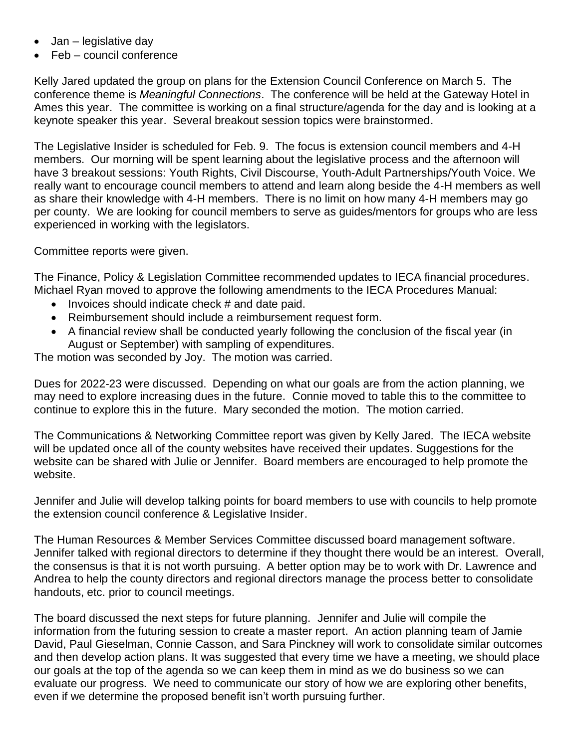- Jan legislative day
- Feb council conference

Kelly Jared updated the group on plans for the Extension Council Conference on March 5. The conference theme is *Meaningful Connections*. The conference will be held at the Gateway Hotel in Ames this year. The committee is working on a final structure/agenda for the day and is looking at a keynote speaker this year. Several breakout session topics were brainstormed.

The Legislative Insider is scheduled for Feb. 9. The focus is extension council members and 4-H members. Our morning will be spent learning about the legislative process and the afternoon will have 3 breakout sessions: Youth Rights, Civil Discourse, Youth-Adult Partnerships/Youth Voice. We really want to encourage council members to attend and learn along beside the 4-H members as well as share their knowledge with 4-H members. There is no limit on how many 4-H members may go per county. We are looking for council members to serve as guides/mentors for groups who are less experienced in working with the legislators.

Committee reports were given.

The Finance, Policy & Legislation Committee recommended updates to IECA financial procedures. Michael Ryan moved to approve the following amendments to the IECA Procedures Manual:

- Invoices should indicate check # and date paid.
- Reimbursement should include a reimbursement request form.
- A financial review shall be conducted yearly following the conclusion of the fiscal year (in August or September) with sampling of expenditures.

The motion was seconded by Joy. The motion was carried.

Dues for 2022-23 were discussed. Depending on what our goals are from the action planning, we may need to explore increasing dues in the future. Connie moved to table this to the committee to continue to explore this in the future. Mary seconded the motion. The motion carried.

The Communications & Networking Committee report was given by Kelly Jared. The IECA website will be updated once all of the county websites have received their updates. Suggestions for the website can be shared with Julie or Jennifer. Board members are encouraged to help promote the website.

Jennifer and Julie will develop talking points for board members to use with councils to help promote the extension council conference & Legislative Insider.

The Human Resources & Member Services Committee discussed board management software. Jennifer talked with regional directors to determine if they thought there would be an interest. Overall, the consensus is that it is not worth pursuing. A better option may be to work with Dr. Lawrence and Andrea to help the county directors and regional directors manage the process better to consolidate handouts, etc. prior to council meetings.

The board discussed the next steps for future planning. Jennifer and Julie will compile the information from the futuring session to create a master report. An action planning team of Jamie David, Paul Gieselman, Connie Casson, and Sara Pinckney will work to consolidate similar outcomes and then develop action plans. It was suggested that every time we have a meeting, we should place our goals at the top of the agenda so we can keep them in mind as we do business so we can evaluate our progress. We need to communicate our story of how we are exploring other benefits, even if we determine the proposed benefit isn't worth pursuing further.